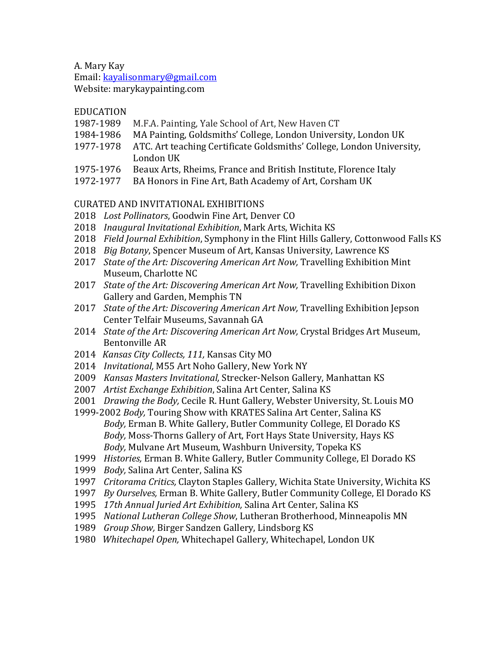A. Mary Kay

Email: kayalisonmary@gmail.com

Website: marykaypainting.com

# EDUCATION

- 1987-1989 M.F.A. Painting, Yale School of Art. New Haven CT
- 1984-1986 MA Painting, Goldsmiths' College, London University, London UK
- 1977-1978 ATC. Art teaching Certificate Goldsmiths' College, London University, London UK
- 1975-1976 Beaux Arts, Rheims, France and British Institute, Florence Italy
- 1972-1977 BA Honors in Fine Art, Bath Academy of Art, Corsham UK

# CURATED AND INVITATIONAL EXHIBITIONS

- 2018 Lost Pollinators, Goodwin Fine Art, Denver CO
- 2018 *Inaugural Invitational Exhibition*, Mark Arts, Wichita KS
- 2018 Field Journal Exhibition, Symphony in the Flint Hills Gallery, Cottonwood Falls KS
- 2018 *Big Botany*, Spencer Museum of Art, Kansas University, Lawrence KS
- 2017 *State of the Art: Discovering American Art Now, Travelling Exhibition Mint* Museum, Charlotte NC
- 2017 *State of the Art: Discovering American Art Now, Travelling Exhibition Dixon* Gallery and Garden, Memphis TN
- 2017 *State of the Art: Discovering American Art Now, Travelling Exhibition Jepson* Center Telfair Museums, Savannah GA
- 2014 *State of the Art: Discovering American Art Now, Crystal Bridges Art Museum,* Bentonville AR
- 2014 *Kansas City Collects, 111,* Kansas City MO
- 2014 *Invitational, M55 Art Noho Gallery, New York NY*
- 2009 *Kansas Masters Invitational,* Strecker-Nelson Gallery, Manhattan KS
- 2007 *Artist Exchange Exhibition*, Salina Art Center, Salina KS
- 2001 *Drawing the Body, Cecile R. Hunt Gallery, Webster University, St. Louis MO*
- 1999-2002 *Body*, Touring Show with KRATES Salina Art Center, Salina KS *Body*, Erman B. White Gallery, Butler Community College, El Dorado KS Body, Moss-Thorns Gallery of Art, Fort Hays State University, Hays KS Body, Mulvane Art Museum, Washburn University, Topeka KS
- 1999 Histories, Erman B. White Gallery, Butler Community College, El Dorado KS
- 1999 *Body*, Salina Art Center, Salina KS
- 1997 *Critorama Critics,* Clayton Staples Gallery, Wichita State University, Wichita KS
- 1997 *By Ourselves,* Erman B. White Gallery, Butler Community College, El Dorado KS
- 1995 17th Annual Juried Art Exhibition, Salina Art Center, Salina KS
- 1995 *National Lutheran College Show*, Lutheran Brotherhood, Minneapolis MN
- 1989 *Group Show, Birger Sandzen Gallery, Lindsborg KS*
- 1980 Whitechapel Open, Whitechapel Gallery, Whitechapel, London UK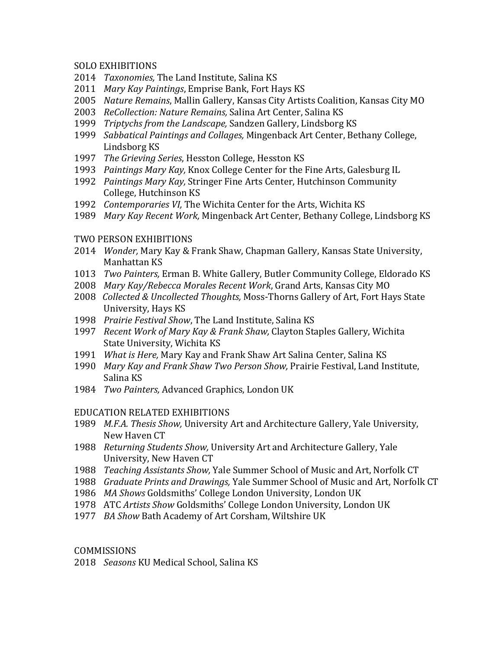#### SOLO EXHIBITIONS

- 2014 *Taxonomies*, The Land Institute, Salina KS
- 2011 *Mary Kay Paintings*, Emprise Bank, Fort Hays KS
- 2005 *Nature Remains*, Mallin Gallery, Kansas City Artists Coalition, Kansas City MO
- 2003 ReCollection: Nature Remains, Salina Art Center, Salina KS
- 1999 *Triptychs from the Landscape*, Sandzen Gallery, Lindsborg KS
- 1999 Sabbatical Paintings and Collages, Mingenback Art Center, Bethany College, Lindsborg KS
- 1997 *The Grieving Series*, Hesston College, Hesston KS
- 1993 *Paintings Mary Kay*, Knox College Center for the Fine Arts, Galesburg IL
- 1992 *Paintings Mary Kay, Stringer Fine Arts Center, Hutchinson Community* College, Hutchinson KS
- 1992 *Contemporaries VI*, The Wichita Center for the Arts, Wichita KS
- 1989 Mary Kay Recent Work, Mingenback Art Center, Bethany College, Lindsborg KS

# TWO PERSON EXHIBITIONS

- 2014 *Wonder*, Mary Kay & Frank Shaw, Chapman Gallery, Kansas State University, Manhattan KS
- 1013 *Two Painters, Erman B. White Gallery, Butler Community College, Eldorado KS*
- 2008 Mary Kay/Rebecca Morales Recent Work, Grand Arts, Kansas City MO
- 2008 Collected & Uncollected Thoughts, Moss-Thorns Gallery of Art, Fort Hays State University, Hays KS
- 1998 Prairie Festival Show, The Land Institute, Salina KS
- 1997 *Recent Work of Mary Kay & Frank Shaw, Clayton Staples Gallery, Wichita* State University, Wichita KS
- 1991 *What is Here,* Mary Kay and Frank Shaw Art Salina Center, Salina KS
- 1990 Mary Kay and Frank Shaw Two Person Show, Prairie Festival, Land Institute, Salina KS
- 1984 *Two Painters, Advanced Graphics, London UK*

# EDUCATION RELATED EXHIBITIONS

- 1989 *M.F.A. Thesis Show,* University Art and Architecture Gallery, Yale University, New Haven CT
- 1988 Returning Students Show, University Art and Architecture Gallery, Yale University, New Haven CT
- 1988 *Teaching Assistants Show,* Yale Summer School of Music and Art, Norfolk CT
- 1988 *Graduate Prints and Drawings*, Yale Summer School of Music and Art, Norfolk CT
- 1986 MA Shows Goldsmiths' College London University, London UK
- 1978 ATC Artists Show Goldsmiths' College London University, London UK
- 1977 *BA Show Bath Academy of Art Corsham, Wiltshire UK*

# **COMMISSIONS**

2018 *Seasons* KU Medical School, Salina KS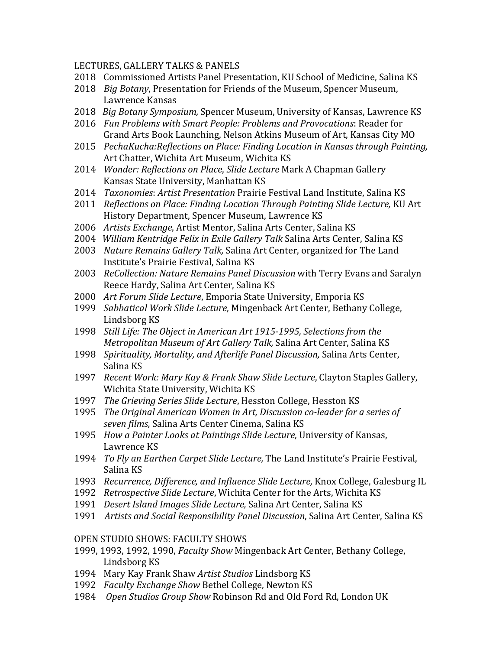#### LECTURES, GALLERY TALKS & PANELS

- 2018 Commissioned Artists Panel Presentation, KU School of Medicine, Salina KS
- 2018 *Big Botany*, Presentation for Friends of the Museum, Spencer Museum, Lawrence Kansas
- 2018 *Big Botany Symposium,* Spencer Museum, University of Kansas, Lawrence KS
- 2016 *Fun Problems with Smart People: Problems and Provocations*: Reader for Grand Arts Book Launching, Nelson Atkins Museum of Art, Kansas City MO
- 2015 *PechaKucha:Reflections on Place: Finding Location in Kansas through Painting,* Art Chatter, Wichita Art Museum, Wichita KS
- 2014 *Wonder: Reflections on Place, Slide Lecture* Mark A Chapman Gallery Kansas State University, Manhattan KS
- 2014 *Taxonomies: Artist Presentation Prairie Festival Land Institute, Salina KS*
- 2011 *Reflections on Place: Finding Location Through Painting Slide Lecture, KU Art* History Department, Spencer Museum, Lawrence KS
- 2006 *Artists Exchange*, Artist Mentor, Salina Arts Center, Salina KS
- 2004 *William Kentridge Felix in Exile Gallery Talk* Salina Arts Center, Salina KS
- 2003 *Nature Remains Gallery Talk,* Salina Art Center, organized for The Land Institute's Prairie Festival, Salina KS
- 2003 *ReCollection: Nature Remains Panel Discussion* with Terry Evans and Saralyn Reece Hardy, Salina Art Center, Salina KS
- 2000 Art Forum Slide Lecture, Emporia State University, Emporia KS
- 1999 *Sabbatical Work Slide Lecture*, Mingenback Art Center, Bethany College, Lindsborg KS
- 1998 *Still Life: The Object in American Art 1915-1995, Selections from the Metropolitan Museum of Art Gallery Talk, Salina Art Center, Salina KS*
- 1998 *Spirituality, Mortality, and Afterlife Panel Discussion, Salina Arts Center,* Salina KS
- 1997 Recent Work: Mary Kay & Frank Shaw Slide Lecture, Clayton Staples Gallery, Wichita State University, Wichita KS
- 1997 *The Grieving Series Slide Lecture*, Hesston College, Hesston KS
- 1995 *The Original American Women in Art, Discussion co-leader for a series of seven films,* Salina Arts Center Cinema, Salina KS
- 1995 *How a Painter Looks at Paintings Slide Lecture*, University of Kansas, Lawrence KS
- 1994 *To Fly an Earthen Carpet Slide Lecture*, The Land Institute's Prairie Festival, Salina KS
- 1993 Recurrence, Difference, and Influence Slide Lecture, Knox College, Galesburg IL
- 1992 Retrospective Slide Lecture, Wichita Center for the Arts, Wichita KS
- 1991 *Desert Island Images Slide Lecture*, Salina Art Center, Salina KS
- 1991 Artists and Social Responsibility Panel Discussion, Salina Art Center, Salina KS

#### OPEN STUDIO SHOWS: FACULTY SHOWS

- 1999, 1993, 1992, 1990, *Faculty Show Mingenback Art Center*, Bethany College, Lindsborg KS
- 1994 Mary Kay Frank Shaw *Artist Studios* Lindsborg KS
- 1992 *Faculty Exchange Show Bethel College, Newton KS*
- 1984 Open Studios Group Show Robinson Rd and Old Ford Rd, London UK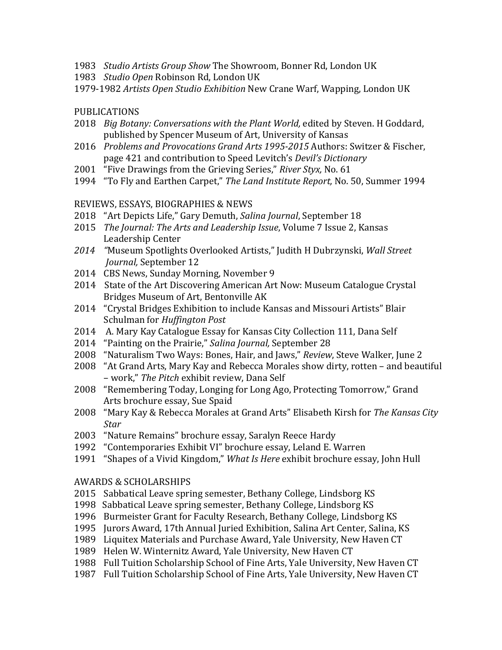- 1983 *Studio Artists Group Show* The Showroom, Bonner Rd, London UK
- 1983 *Studio Open* Robinson Rd, London UK
- 1979-1982 Artists Open Studio Exhibition New Crane Warf, Wapping, London UK

### PUBLICATIONS

- 2018 *Big Botany: Conversations with the Plant World, edited by Steven, H Goddard,* published by Spencer Museum of Art, University of Kansas
- 2016 *Problems and Provocations Grand Arts 1995-2015* Authors: Switzer & Fischer, page 421 and contribution to Speed Levitch's *Devil's Dictionary*
- 2001 "Five Drawings from the Grieving Series," River Styx, No. 61
- 1994 "To Fly and Earthen Carpet," The Land Institute Report, No. 50, Summer 1994

### REVIEWS, ESSAYS, BIOGRAPHIES & NEWS

- 2018 "Art Depicts Life," Gary Demuth, *Salina Journal*, September 18
- 2015 *The Journal: The Arts and Leadership Issue*, Volume 7 Issue 2, Kansas Leadership Center
- 2014 *"*Museum Spotlights Overlooked Artists," Judith H Dubrzynski, *Wall Street Journal, September 12*
- 2014 CBS News, Sunday Morning, November 9
- 2014 State of the Art Discovering American Art Now: Museum Catalogue Crystal Bridges Museum of Art, Bentonville AK
- 2014 "Crystal Bridges Exhibition to include Kansas and Missouri Artists" Blair Schulman for *Huffington Post*
- 2014 A. Mary Kay Catalogue Essay for Kansas City Collection 111, Dana Self
- 2014 "Painting on the Prairie," Salina Journal, September 28
- 2008 "Naturalism Two Ways: Bones, Hair, and Jaws," *Review*, Steve Walker, June 2
- 2008 "At Grand Arts, Mary Kay and Rebecca Morales show dirty, rotten and beautiful – work," *The Pitch* exhibit review, Dana Self
- 2008 "Remembering Today, Longing for Long Ago, Protecting Tomorrow," Grand Arts brochure essay, Sue Spaid
- 2008 "Mary Kay & Rebecca Morales at Grand Arts" Elisabeth Kirsh for The Kansas City *Star*
- 2003 "Nature Remains" brochure essay, Saralyn Reece Hardy
- 1992 "Contemporaries Exhibit VI" brochure essay, Leland E. Warren
- 1991 "Shapes of a Vivid Kingdom," What Is Here exhibit brochure essay, John Hull

#### AWARDS & SCHOLARSHIPS

- 2015 Sabbatical Leave spring semester, Bethany College, Lindsborg KS
- 1998 Sabbatical Leave spring semester, Bethany College, Lindsborg KS
- 1996 Burmeister Grant for Faculty Research, Bethany College, Lindsborg KS
- 1995 Jurors Award, 17th Annual Juried Exhibition, Salina Art Center, Salina, KS
- 1989 Liquitex Materials and Purchase Award, Yale University, New Haven CT
- 1989 Helen W. Winternitz Award, Yale University, New Haven CT
- 1988 Full Tuition Scholarship School of Fine Arts, Yale University, New Haven CT
- 1987 Full Tuition Scholarship School of Fine Arts, Yale University, New Haven CT